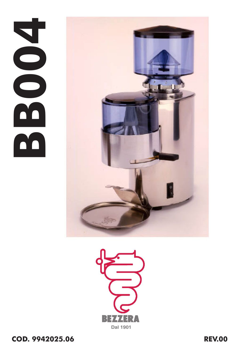## **BB004**



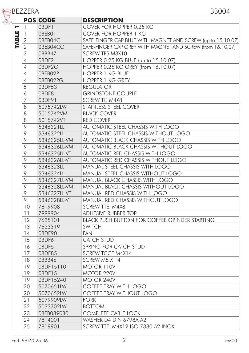|                          | <b>BEZZERA</b> |                 | <b>BB004</b>                                                |
|--------------------------|----------------|-----------------|-------------------------------------------------------------|
|                          |                | <b>POS CODE</b> | <b>DESCRIPTION</b>                                          |
| $\overline{\phantom{0}}$ | 1              | OBDF1           | COVER FOR HOPPER 0,25 KG                                    |
|                          | $\mathbf{1}$   | OBEB01          | COVER FOR HOPPER 1 KG                                       |
|                          | $\sqrt{2}$     | OBEB04C         | SAFE-FINGER CAP BLUE WITH MAGNET AND SCREW (up to 15.10.07) |
| <b>TABLE</b>             | $\overline{2}$ | 0BEB04CG        | SAFE-FINGER CAP GREY WITH MAGNET AND SCREW (from 16.10.07)  |
|                          | 3              | OBBB47          | SCREW TPS M3X10                                             |
|                          | $\overline{4}$ | OBDF2           | HOPPER 0.25 KG BLUE (up to 15.10.07)                        |
|                          | $\overline{4}$ | 0BDF2G          | HOPPER 0.25 KG GREY (from 16.10.07)                         |
|                          | $\overline{4}$ | OBEB02P         | <b>HOPPER 1 KG BLUE</b>                                     |
|                          | $\overline{4}$ | OBEB02PG        | <b>HOPPER 1 KG GREY</b>                                     |
|                          | 5              | OBDF53          | <b>REGULATOR</b>                                            |
|                          | 6              | OBDF8           | <b>GRINDSTONE COUPLE</b>                                    |
|                          | 7              | OBDF91          | SCREW TC M4X8                                               |
|                          | 8              | 5075742LW       | STAINLESS STEEL COVER                                       |
|                          | 8              | 5015742VM       | <b>BLACK COVER</b>                                          |
|                          | 8              | 5015742VT       | <b>RED COVER</b>                                            |
|                          | $\circ$        | 5346321LL       | AUTOMATIC STEEL CHASSIS WITH LOGO                           |
|                          | $\circ$        | 5346322LL       | AUTOMATIC STEEL CHASSIS WITHOUT LOGO                        |
|                          | 9              | 5346325LL-VM    | AUTOMATIC BLACK CHASSIS WITH LOGO                           |
|                          | 9              | 5346326LL-VM    | <b>AUTOMATIC BLACK CHASSIS WITHOUT LOGO</b>                 |
|                          | $\circ$        | 5346325LL-VT    | AUTOMATIC RED CHASSIS WITH LOGO                             |
|                          | 9              | 5346326LL-VT    | AUTOMATIC RED CHASSIS WITHOUT LOGO                          |
|                          | 9              | 5346323LL       | MANUAL STEEL CHASSIS WITH LOGO                              |
|                          | $\circ$        | 5346324LL       | MANUAL STEEL CHASSIS WITHOUT LOGO                           |
|                          | 9              | 5346327LL-VM    | MANUAL BLACK CHASSIS WITH LOGO                              |
|                          | 9              | 5346328LL-VM    | MANUAL BLACK CHASSIS WITHOUT LOGO                           |
|                          | 9              | 5346327LL-VT    | MANUAL RED CHASSIS WITH LOGO                                |
|                          | 9              | 5346328LL-VT    | MANUAL RED CHASSIS WITHOUT LOGO                             |
|                          | 10             | 7819908         | <b>SCREW TTEI M4X8</b>                                      |
|                          | 11             | 7999904         | ADHESIVE RUBBER TOP                                         |
|                          | 12             | 7635101         | <b>BLACK PUSH BUTTON FOR COFFEE GRINDER STARTING</b>        |
|                          | 13             | 7633319         | SWITCH                                                      |
|                          | 14             | OBDF90          | <b>FAN</b>                                                  |
|                          | 15             | OBDF6           | <b>CATCH STUD</b>                                           |
|                          | 16             | OBDF5           | SPRING FOR CATCH STUD                                       |
|                          | 17             | OBDF85          | SCREW TCCE M4X14                                            |
|                          | 18             | OBBB46          | SCREW M5 X 14                                               |
|                          | 19             | 0BDF15110       | MOTOR 110V                                                  |
|                          | 19             | OBDF15          | MOTOR 220V                                                  |
|                          | 19             | 0BDF15240       | MOTOR 240V                                                  |
|                          | 20             | 5070651LW       | COFFEE TRAY WITH LOGO                                       |
|                          | 20             | 5070652LW       | COFFEE TRAY WITHOUT LOGO                                    |
|                          | 21             | 5079909LW       | <b>FORK</b>                                                 |
|                          | 22             | 5033702LW       | <b>BOTTOM</b>                                               |
|                          | 23             | OBEB0890B0      | <b>COMPLETE CABLE LOCK</b>                                  |
|                          | 24             | 7814001         | WASHER D4 DIN 6798A A2                                      |
|                          | 25             | 7819901         | SCREW TTEI M4X12 ISO 7380 A2 INOX                           |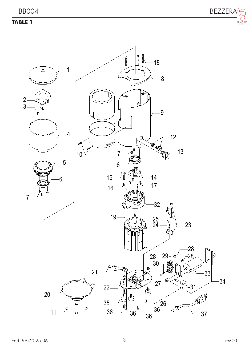## **TABLE 1**



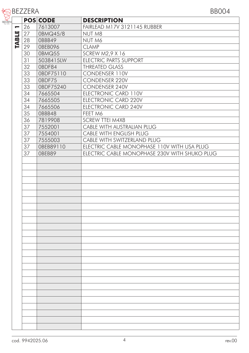| teBEZZERA           |                 | <b>BB004</b>                                  |
|---------------------|-----------------|-----------------------------------------------|
|                     | <b>POS CODE</b> | <b>DESCRIPTION</b>                            |
| 26<br>−             | 7613007         | FAIRLEAD M17V 3121145 RUBBER                  |
| <b>TABLE</b><br> 27 | 0BMQ45/8        | NUT M8                                        |
| 28                  | OBBB49          | NUT M6                                        |
| 29                  | OBEB096         | <b>CLAMP</b>                                  |
| 30                  | 0BMQ55          | <b>SCREW M2,9 X 16</b>                        |
| 31                  | 5038415LW       | ELECTRIC PARTS SUPPORT                        |
| 32                  | OBDF84          | <b>THREATED GLASS</b>                         |
| 33                  | 0BDF75110       | CONDENSER 110V                                |
| 33                  | OBDF75          | CONDENSER 220V                                |
| 33                  | 0BDF75240       | CONDENSER 240V                                |
| 34                  | 7665504         | ELECTRONIC CARD 110V                          |
| 34                  | 7665505         | ELECTRONIC CARD 220V                          |
| 34                  | 7665506         | ELECTRONIC CARD 240V                          |
| 35                  | OBBB48          | FEET M6                                       |
| 36                  |                 | <b>SCREW TTEI M4X8</b>                        |
|                     | 7819908         | CABLE WITH AUSTRALIAN PLUG                    |
| 37                  | 7552001         |                                               |
| 37                  | 7554001         | CABLE WITH ENGLISH PLUG                       |
| 37                  | 7555003         | CABLE WITH SWITZERLAND PLUG                   |
| 37                  | OBEB89110       | ELECTRIC CABLE MONOPHASE 110V WITH USA PLUG   |
| 37                  | OBEB89          | ELECTRIC CABLE MONOPHASE 230V WITH SHUKO PLUG |
|                     |                 |                                               |
|                     |                 |                                               |
|                     |                 |                                               |
|                     |                 |                                               |
|                     |                 |                                               |
|                     |                 |                                               |
|                     |                 |                                               |
|                     |                 |                                               |
|                     |                 |                                               |
|                     |                 |                                               |
|                     |                 |                                               |
|                     |                 |                                               |
|                     |                 |                                               |
|                     |                 |                                               |
|                     |                 |                                               |
|                     |                 |                                               |
|                     |                 |                                               |
|                     |                 |                                               |
|                     |                 |                                               |
|                     |                 |                                               |
|                     |                 |                                               |
|                     |                 |                                               |
|                     |                 |                                               |
|                     |                 |                                               |
|                     |                 |                                               |
|                     |                 |                                               |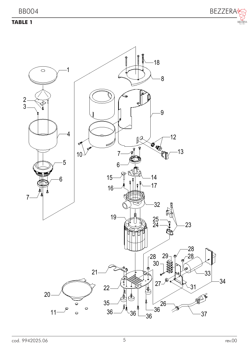## **TABLE 1**



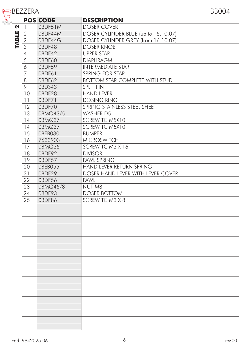| 含BEZZERA | <b>BB004</b> |
|----------|--------------|
|          |              |

|              |            | <b>POS CODE</b> | <b>DESCRIPTION</b>                    |
|--------------|------------|-----------------|---------------------------------------|
| N            | 1          | OBDF51M         | <b>DOSER COVER</b>                    |
|              | $\sqrt{2}$ | OBDF44M         | DOSER CYLINDER BLUE (up to 15.10.07)  |
| <b>TABLE</b> | $\sqrt{2}$ | 0BDF44G         | DOSER CYLINDER GREY (from 16.10.07)   |
|              | 3          | OBDF48          | <b>DOSER KNOB</b>                     |
|              | 4          | OBDF42          | <b>UPPER STAR</b>                     |
|              | 5          | OBDF60          | <b>DIAPHRAGM</b>                      |
|              | 6          | OBDF59          | <b>INTERMEDIATE STAR</b>              |
|              | 7          | OBDF61          | SPRING FOR STAR                       |
|              | 8          | OBDF62          | <b>BOTTOM STAR COMPLETE WITH STUD</b> |
|              | 9          | OBDS43          | <b>SPLIT PIN</b>                      |
|              | 10         | OBDF28          | <b>HAND LEVER</b>                     |
|              | 11         | OBDF71          | <b>DOSING RING</b>                    |
|              | 12         | OBDF70          | SPRING STAINLESS STEEL SHEET          |
|              | 13         | 0BMQ43/5        | WASHER D5                             |
|              | 14         | 0BMQ37          | SCREW TC M5X10                        |
|              | 14         | 0BMQ37          | SCREW TC M5X10                        |
|              | 15         | OBEB030         | <b>BUMPER</b>                         |
|              | 16         | 7633903         | <b>MICROSWITCH</b>                    |
|              | 17         | 0BMQ35          | SCREW TC M3 X 16                      |
|              | 18         | OBDF92          | <b>DIVISOR</b>                        |
|              | 19         | OBDF57          | PAWL SPRING                           |
|              | 20         | OBEB055         | HAND LEVER RETURN SPRING              |
|              | 21         | OBDF29          | DOSER HAND LEVER WITH LEVER COVER     |
|              | 22         | OBDF56          | PAWL                                  |
|              | 23         | 0BMQ45/8        | NUT M8                                |
|              | 24         | OBDF93          | <b>DOSER BOTTOM</b>                   |
|              | 25         | OBDF86          | SCREW TC M3 X 8                       |
|              |            |                 |                                       |
|              |            |                 |                                       |
|              |            |                 |                                       |
|              |            |                 |                                       |
|              |            |                 |                                       |
|              |            |                 |                                       |
|              |            |                 |                                       |
|              |            |                 |                                       |
|              |            |                 |                                       |
|              |            |                 |                                       |
|              |            |                 |                                       |
|              |            |                 |                                       |
|              |            |                 |                                       |
|              |            |                 |                                       |
|              |            |                 |                                       |
|              |            |                 |                                       |
|              |            |                 |                                       |
|              |            |                 |                                       |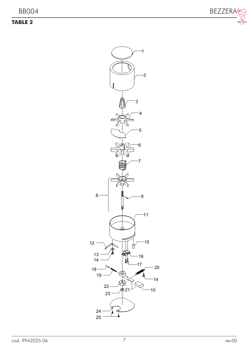## **TABLE 2**